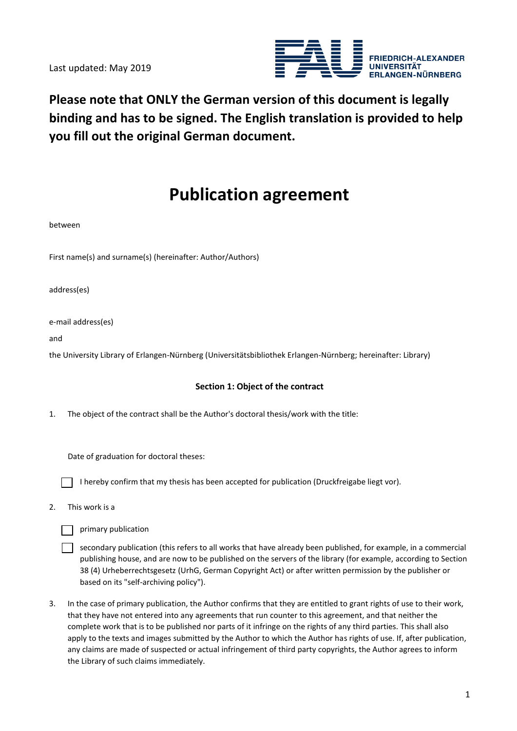Last updated: May 2019



**Please note that ONLY the German version of this document is legally binding and has to be signed. The English translation is provided to help you fill out the original German document.** 

# **Publication agreement**

between

First name(s) and surname(s) (hereinafter: Author/Authors)

address(es)

e-mail address(es)

and

the University Library of Erlangen-Nürnberg (Universitätsbibliothek Erlangen-Nürnberg; hereinafter: Library)

#### **Section 1: Object of the contract**

1. The object of the contract shall be the Author's doctoral thesis/work with the title:

Date of graduation for doctoral theses:

I hereby confirm that my thesis has been accepted for publication (Druckfreigabe liegt vor).

2. This work is a

primary publication

 $\Box$  secondary publication (this refers to all works that have already been published, for example, in a commercial publishing house, and are now to be published on the servers of the library (for example, according to Section 38 (4) Urheberrechtsgesetz (UrhG, German Copyright Act) or after written permission by the publisher or based on its "self-archiving policy").

3. In the case of primary publication, the Author confirms that they are entitled to grant rights of use to their work, that they have not entered into any agreements that run counter to this agreement, and that neither the complete work that is to be published nor parts of it infringe on the rights of any third parties. This shall also apply to the texts and images submitted by the Author to which the Author has rights of use. If, after publication, any claims are made of suspected or actual infringement of third party copyrights, the Author agrees to inform the Library of such claims immediately.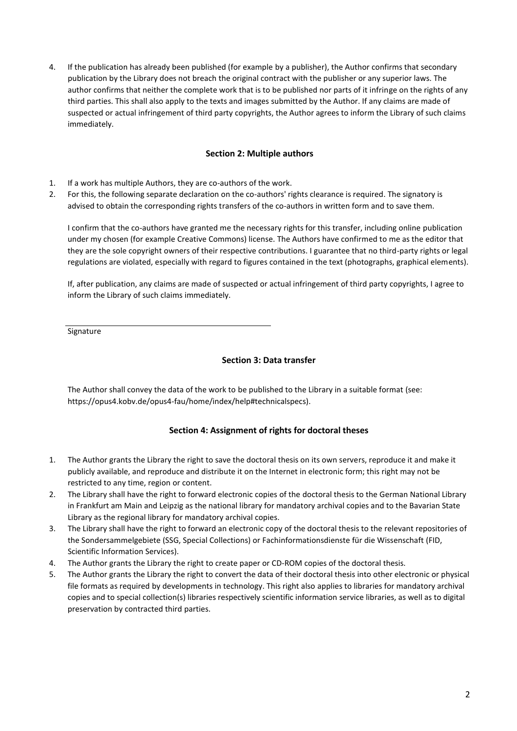4. If the publication has already been published (for example by a publisher), the Author confirms that secondary publication by the Library does not breach the original contract with the publisher or any superior laws. The author confirms that neither the complete work that is to be published nor parts of it infringe on the rights of any third parties. This shall also apply to the texts and images submitted by the Author. If any claims are made of suspected or actual infringement of third party copyrights, the Author agrees to inform the Library of such claims immediately.

#### **Section 2: Multiple authors**

- 1. If a work has multiple Authors, they are co-authors of the work.
- 2. For this, the following separate declaration on the co-authors' rights clearance is required. The signatory is advised to obtain the corresponding rights transfers of the co-authors in written form and to save them.

I confirm that the co-authors have granted me the necessary rights for this transfer, including online publication under my chosen (for example Creative Commons) license. The Authors have confirmed to me as the editor that they are the sole copyright owners of their respective contributions. I guarantee that no third-party rights or legal regulations are violated, especially with regard to figures contained in the text (photographs, graphical elements).

If, after publication, any claims are made of suspected or actual infringement of third party copyrights, I agree to inform the Library of such claims immediately.

Signature

### **Section 3: Data transfer**

The Author shall convey the data of the work to be published to the Library in a suitable format (see: https://opus4.kobv.de/opus4-fau/home/index/help#technicalspecs).

### **Section 4: Assignment of rights for doctoral theses**

- 1. The Author grants the Library the right to save the doctoral thesis on its own servers, reproduce it and make it publicly available, and reproduce and distribute it on the Internet in electronic form; this right may not be restricted to any time, region or content.
- 2. The Library shall have the right to forward electronic copies of the doctoral thesis to the German National Library in Frankfurt am Main and Leipzig as the national library for mandatory archival copies and to the Bavarian State Library as the regional library for mandatory archival copies.
- 3. The Library shall have the right to forward an electronic copy of the doctoral thesis to the relevant repositories of the Sondersammelgebiete (SSG, Special Collections) or Fachinformationsdienste für die Wissenschaft (FID, Scientific Information Services).
- 4. The Author grants the Library the right to create paper or CD-ROM copies of the doctoral thesis.
- 5. The Author grants the Library the right to convert the data of their doctoral thesis into other electronic or physical file formats as required by developments in technology. This right also applies to libraries for mandatory archival copies and to special collection(s) libraries respectively scientific information service libraries, as well as to digital preservation by contracted third parties.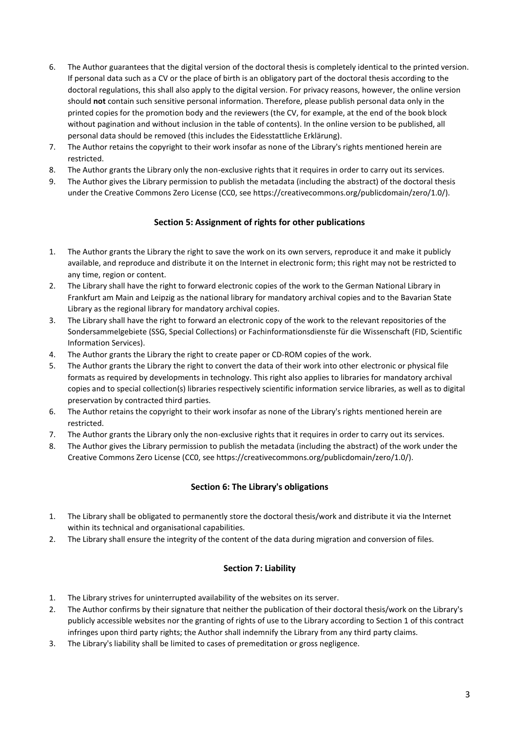- 6. The Author guarantees that the digital version of the doctoral thesis is completely identical to the printed version. If personal data such as a CV or the place of birth is an obligatory part of the doctoral thesis according to the doctoral regulations, this shall also apply to the digital version. For privacy reasons, however, the online version should **not** contain such sensitive personal information. Therefore, please publish personal data only in the printed copies for the promotion body and the reviewers (the CV, for example, at the end of the book block without pagination and without inclusion in the table of contents). In the online version to be published, all personal data should be removed (this includes the Eidesstattliche Erklärung).
- 7. The Author retains the copyright to their work insofar as none of the Library's rights mentioned herein are restricted.
- 8. The Author grants the Library only the non-exclusive rights that it requires in order to carry out its services.
- 9. The Author gives the Library permission to publish the metadata (including the abstract) of the doctoral thesis under the Creative Commons Zero License (CC0, see https://creativecommons.org/publicdomain/zero/1.0/).

### **Section 5: Assignment of rights for other publications**

- 1. The Author grants the Library the right to save the work on its own servers, reproduce it and make it publicly available, and reproduce and distribute it on the Internet in electronic form; this right may not be restricted to any time, region or content.
- 2. The Library shall have the right to forward electronic copies of the work to the German National Library in Frankfurt am Main and Leipzig as the national library for mandatory archival copies and to the Bavarian State Library as the regional library for mandatory archival copies.
- 3. The Library shall have the right to forward an electronic copy of the work to the relevant repositories of the Sondersammelgebiete (SSG, Special Collections) or Fachinformationsdienste für die Wissenschaft (FID, Scientific Information Services).
- 4. The Author grants the Library the right to create paper or CD-ROM copies of the work.
- 5. The Author grants the Library the right to convert the data of their work into other electronic or physical file formats as required by developments in technology. This right also applies to libraries for mandatory archival copies and to special collection(s) libraries respectively scientific information service libraries, as well as to digital preservation by contracted third parties.
- 6. The Author retains the copyright to their work insofar as none of the Library's rights mentioned herein are restricted.
- 7. The Author grants the Library only the non-exclusive rights that it requires in order to carry out its services.
- 8. The Author gives the Library permission to publish the metadata (including the abstract) of the work under the Creative Commons Zero License (CC0, see https://creativecommons.org/publicdomain/zero/1.0/).

### **Section 6: The Library's obligations**

- 1. The Library shall be obligated to permanently store the doctoral thesis/work and distribute it via the Internet within its technical and organisational capabilities.
- 2. The Library shall ensure the integrity of the content of the data during migration and conversion of files.

### **Section 7: Liability**

- 1. The Library strives for uninterrupted availability of the websites on its server.
- 2. The Author confirms by their signature that neither the publication of their doctoral thesis/work on the Library's publicly accessible websites nor the granting of rights of use to the Library according to Section 1 of this contract infringes upon third party rights; the Author shall indemnify the Library from any third party claims.
- 3. The Library's liability shall be limited to cases of premeditation or gross negligence.